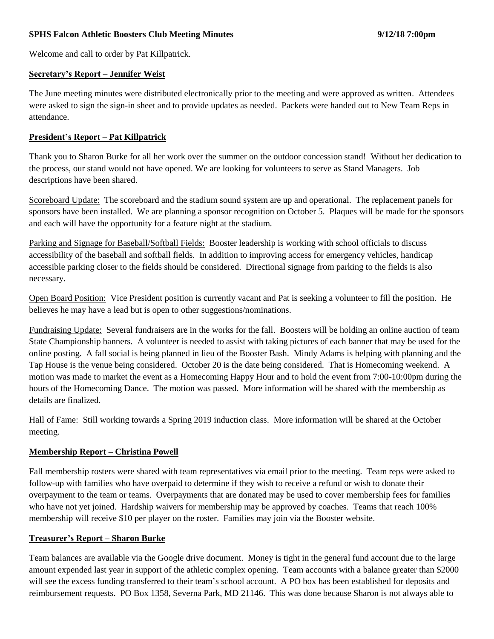### **SPHS Falcon Athletic Boosters Club Meeting Minutes 9/12/18 7:00pm**

Welcome and call to order by Pat Killpatrick.

#### **Secretary's Report – Jennifer Weist**

The June meeting minutes were distributed electronically prior to the meeting and were approved as written. Attendees were asked to sign the sign-in sheet and to provide updates as needed. Packets were handed out to New Team Reps in attendance.

### **President's Report – Pat Killpatrick**

Thank you to Sharon Burke for all her work over the summer on the outdoor concession stand! Without her dedication to the process, our stand would not have opened. We are looking for volunteers to serve as Stand Managers. Job descriptions have been shared.

Scoreboard Update: The scoreboard and the stadium sound system are up and operational. The replacement panels for sponsors have been installed. We are planning a sponsor recognition on October 5. Plaques will be made for the sponsors and each will have the opportunity for a feature night at the stadium.

Parking and Signage for Baseball/Softball Fields: Booster leadership is working with school officials to discuss accessibility of the baseball and softball fields. In addition to improving access for emergency vehicles, handicap accessible parking closer to the fields should be considered. Directional signage from parking to the fields is also necessary.

Open Board Position: Vice President position is currently vacant and Pat is seeking a volunteer to fill the position. He believes he may have a lead but is open to other suggestions/nominations.

Fundraising Update: Several fundraisers are in the works for the fall. Boosters will be holding an online auction of team State Championship banners. A volunteer is needed to assist with taking pictures of each banner that may be used for the online posting. A fall social is being planned in lieu of the Booster Bash. Mindy Adams is helping with planning and the Tap House is the venue being considered. October 20 is the date being considered. That is Homecoming weekend. A motion was made to market the event as a Homecoming Happy Hour and to hold the event from 7:00-10:00pm during the hours of the Homecoming Dance. The motion was passed. More information will be shared with the membership as details are finalized.

Hall of Fame: Still working towards a Spring 2019 induction class. More information will be shared at the October meeting.

## **Membership Report – Christina Powell**

Fall membership rosters were shared with team representatives via email prior to the meeting. Team reps were asked to follow-up with families who have overpaid to determine if they wish to receive a refund or wish to donate their overpayment to the team or teams. Overpayments that are donated may be used to cover membership fees for families who have not yet joined. Hardship waivers for membership may be approved by coaches. Teams that reach 100% membership will receive \$10 per player on the roster. Families may join via the Booster website.

## **Treasurer's Report – Sharon Burke**

Team balances are available via the Google drive document. Money is tight in the general fund account due to the large amount expended last year in support of the athletic complex opening. Team accounts with a balance greater than \$2000 will see the excess funding transferred to their team's school account. A PO box has been established for deposits and reimbursement requests. PO Box 1358, Severna Park, MD 21146. This was done because Sharon is not always able to